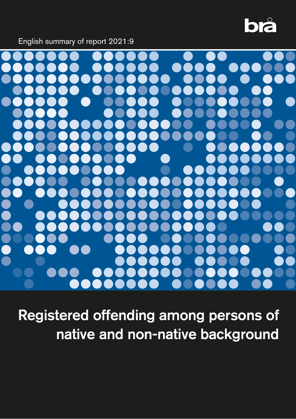# bå

English summary of report 2021:9



Registered offending among persons of native and non-native background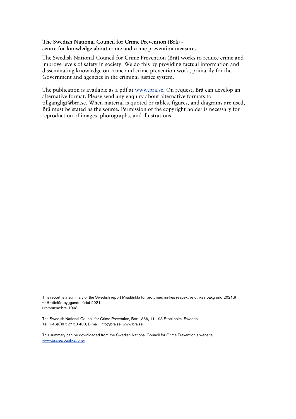#### **The Swedish National Council for Crime Prevention (Brå) centre for knowledge about crime and crime prevention measures**

The Swedish National Council for Crime Prevention (Brå) works to reduce crime and improve levels of safety in society. We do this by providing factual information and disseminating knowledge on crime and crime prevention work, primarily for the Government and agencies in the criminal justice system.

The publication is available as a pdf at www.bra.se. On request, Brå can develop an alternative format. Please send any enquiry about alternative formats to tillgangligt@bra.se. When material is quoted or tables, figures, and diagrams are used, Brå must be stated as the source. Permission of the copyright holder is necessary for reproduction of images, photographs, and illustrations.

This report is a summary of the Swedish report Misstänkta för brott med inrikes respektive utrikes bakgrund 2021:9 © Brottsförebyggande rådet 2021 urn:nbn:se:bra-1003

The Swedish National Council for Crime Prevention, Box 1386, 111 93 Stockholm, Sweden Tel: +46(0)8 527 58 400, E-mail: info@bra.se, www.bra.se

This summary can be downloaded from the Swedish National Council for Crime Prevention's website, [www.bra.se/publikationer](http://www.bra.se/publikationer)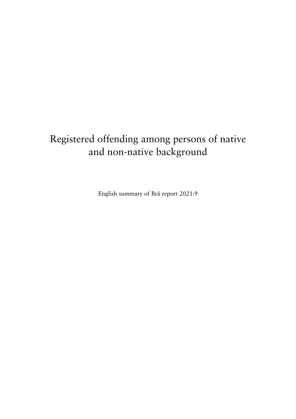# Registered offending among persons of native and non-native background

English summary of Brå report 2021:9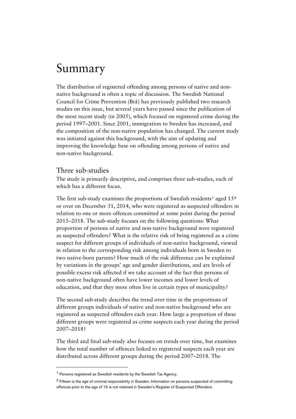# Summary

The distribution of registered offending among persons of native and nonnative background is often a topic of discussion. The Swedish National Council for Crime Prevention (Brå) has previously published two research studies on this issue, but several years have passed since the publication of the most recent study (in 2005), which focused on registered crime during the period 1997–2001. Since 2001, immigration to Sweden has increased, and the composition of the non-native population has changed. The current study was initiated against this background, with the aim of updating and improving the knowledge base on offending among persons of native and non-native background.

## Three sub-studies

The study is primarily descriptive, and comprises three sub-studies, each of which has a different focus.

The first sub-study examines the proportions of Swedish residents<sup>[1](#page-3-0)</sup> aged  $15<sup>2</sup>$  $15<sup>2</sup>$  $15<sup>2</sup>$ or over on December 31, 2014, who were registered as suspected offenders in relation to one or more offences committed at some point during the period 2015–2018. The sub-study focuses on the following questions: What proportion of persons of native and non-native background were registered as suspected offenders? What is the relative risk of being registered as a crime suspect for different groups of individuals of non-native background, viewed in relation to the corresponding risk among individuals born in Sweden to two native-born parents? How much of the risk difference can be explained by variations in the groups' age and gender distributions, and are levels of possible excess risk affected if we take account of the fact that persons of non-native background often have lower incomes and lower levels of education, and that they more often live in certain types of municipality?

The second sub-study describes the trend over time in the proportions of different groups individuals of native and non-native background who are registered as suspected offenders each year. How large a proportion of these different groups were registered as crime suspects each year during the period 2007–2018?

The third and final sub-study also focuses on trends over time, but examines how the total number of offences linked to registered suspects each year are distributed across different groups during the period 2007–2018. The

<span id="page-3-0"></span><sup>1</sup> Persons registered as Swedish residents by the Swedish Tax Agency.

<span id="page-3-1"></span><sup>&</sup>lt;sup>2</sup> Fifteen is the age of criminal responsibility in Sweden. Information on persons suspected of committing offences prior to the age of 15 is not retained in Sweden's Register of Suspected Offenders.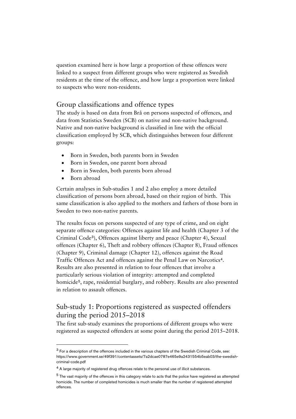question examined here is how large a proportion of these offences were linked to a suspect from different groups who were registered as Swedish residents at the time of the offence, and how large a proportion were linked to suspects who were non-residents.

# Group classifications and offence types

The study is based on data from Brå on persons suspected of offences, and data from Statistics Sweden (SCB) on native and non-native background. Native and non-native background is classified in line with the official classification employed by SCB, which distinguishes between four different groups:

- Born in Sweden, both parents born in Sweden
- Born in Sweden, one parent born abroad
- Born in Sweden, both parents born abroad
- Born abroad

Certain analyses in Sub-studies 1 and 2 also employ a more detailed classification of persons born abroad, based on their region of birth. This same classification is also applied to the mothers and fathers of those born in Sweden to two non-native parents.

The results focus on persons suspected of any type of crime, and on eight separate offence categories: Offences against life and health (Chapter 3 of the Criminal Code[3](#page-4-0)), Offences against liberty and peace (Chapter 4), Sexual offences (Chapter 6), Theft and robbery offences (Chapter 8), Fraud offences (Chapter 9), Criminal damage (Chapter 12), offences against the Road Traffic Offences Act and offences against the Penal Law on Narcotics[4](#page-4-1). Results are also presented in relation to four offences that involve a particularly serious violation of integrity: attempted and completed homicide<sup>[5](#page-4-2)</sup>, rape, residential burglary, and robbery. Results are also presented in relation to assault offences.

# Sub-study 1: Proportions registered as suspected offenders during the period 2015–2018

The first sub-study examines the proportions of different groups who were registered as suspected offenders at some point during the period 2015–2018.

<span id="page-4-0"></span><sup>3</sup> For a description of the offences included in the various chapters of the Swedish Criminal Code, see: https://www.government.se/49f391/contentassets/7a2dcae0787e465e9a2431554b5eab03/the-swedishcriminal-code.pdf

<span id="page-4-1"></span><sup>&</sup>lt;sup>4</sup> A large majority of registered drug offences relate to the personal use of illicit substances.

<span id="page-4-2"></span><sup>&</sup>lt;sup>5</sup> The vast majority of the offences in this category relate to acts that the police have registered as attempted homicide. The number of completed homicides is much smaller than the number of registered attempted offences.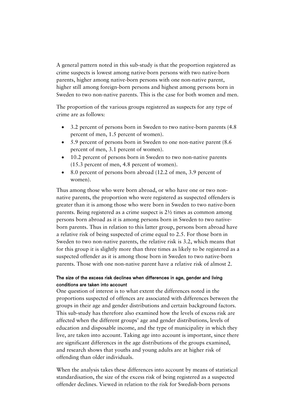A general pattern noted in this sub-study is that the proportion registered as crime suspects is lowest among native-born persons with two native-born parents, higher among native-born persons with one non-native parent, higher still among foreign-born persons and highest among persons born in Sweden to two non-native parents. This is the case for both women and men.

The proportion of the various groups registered as suspects for any type of crime are as follows:

- 3.2 percent of persons born in Sweden to two native-born parents (4.8 percent of men, 1.5 percent of women).
- 5.9 percent of persons born in Sweden to one non-native parent (8.6 percent of men, 3.1 percent of women).
- 10.2 percent of persons born in Sweden to two non-native parents (15.3 percent of men, 4.8 percent of women).
- 8.0 percent of persons born abroad (12.2 of men, 3.9 percent of women).

Thus among those who were born abroad, or who have one or two nonnative parents, the proportion who were registered as suspected offenders is greater than it is among those who were born in Sweden to two native-born parents. Being registered as a crime suspect is 2½ times as common among persons born abroad as it is among persons born in Sweden to two nativeborn parents. Thus in relation to this latter group, persons born abroad have a relative risk of being suspected of crime equal to 2.5. For those born in Sweden to two non-native parents, the relative risk is 3.2, which means that for this group it is slightly more than three times as likely to be registered as a suspected offender as it is among those born in Sweden to two native-born parents. Those with one non-native parent have a relative risk of almost 2.

#### The size of the excess risk declines when differences in age, gender and living conditions are taken into account

One question of interest is to what extent the differences noted in the proportions suspected of offences are associated with differences between the groups in their age and gender distributions and certain background factors. This sub-study has therefore also examined how the levels of excess risk are affected when the different groups' age and gender distributions, levels of education and disposable income, and the type of municipality in which they live, are taken into account. Taking age into account is important, since there are significant differences in the age distributions of the groups examined, and research shows that youths and young adults are at higher risk of offending than older individuals.

When the analysis takes these differences into account by means of statistical standardisation, the size of the excess risk of being registered as a suspected offender declines. Viewed in relation to the risk for Swedish-born persons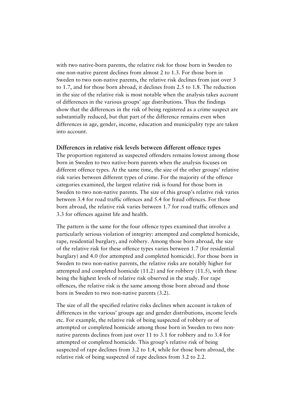with two native-born parents, the relative risk for those born in Sweden to one non-native parent declines from almost 2 to 1.3. For those born in Sweden to two non-native parents, the relative risk declines from just over 3 to 1.7, and for those born abroad, it declines from 2.5 to 1.8. The reduction in the size of the relative risk is most notable when the analysis takes account of differences in the various groups' age distributions. Thus the findings show that the differences in the risk of being registered as a crime suspect are substantially reduced, but that part of the difference remains even when differences in age, gender, income, education and municipality type are taken into account.

#### **Differences in relative risk levels between different offence types**

The proportion registered as suspected offenders remains lowest among those born in Sweden to two native-born parents when the analysis focuses on different offence types. At the same time, the size of the other groups' relative risk varies between different types of crime. For the majority of the offence categories examined, the largest relative risk is found for those born in Sweden to two non-native parents. The size of this group's relative risk varies between 3.4 for road traffic offences and 5.4 for fraud offences. For those born abroad, the relative risk varies between 1.7 for road traffic offences and 3.3 for offences against life and health.

The pattern is the same for the four offence types examined that involve a particularly serious violation of integrity: attempted and completed homicide, rape, residential burglary, and robbery. Among those born abroad, the size of the relative risk for these offence types varies between 1.7 (for residential burglary) and 4.0 (for attempted and completed homicide). For those born in Sweden to two non-native parents, the relative risks are notably higher for attempted and completed homicide (11.2) and for robbery (11.5), with these being the highest levels of relative risk observed in the study. For rape offences, the relative risk is the same among those born abroad and those born in Sweden to two non-native parents (3.2).

The size of all the specified relative risks declines when account is taken of differences in the various' groups age and gender distributions, income levels etc. For example, the relative risk of being suspected of robbery or of attempted or completed homicide among those born in Sweden to two nonnative parents declines from just over 11 to 3.1 for robbery and to 3.4 for attempted or completed homicide. This group's relative risk of being suspected of rape declines from 3.2 to 1.4, while for those born abroad, the relative risk of being suspected of rape declines from 3.2 to 2.2.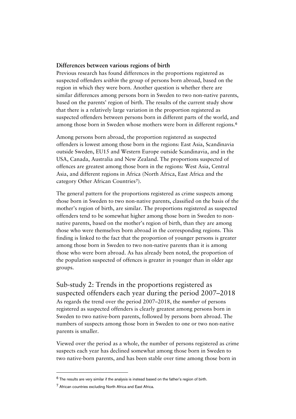#### **Differences between various regions of birth**

Previous research has found differences in the proportions registered as suspected offenders *within* the group of persons born abroad, based on the region in which they were born. Another question is whether there are similar differences among persons born in Sweden to two non-native parents, based on the parents' region of birth. The results of the current study show that there is a relatively large variation in the proportion registered as suspected offenders between persons born in different parts of the world, and among those born in Sweden whose mothers were born in different regions.[6](#page-7-0)

Among persons born abroad, the proportion registered as suspected offenders is lowest among those born in the regions: East Asia, Scandinavia outside Sweden, EU15 and Western Europe outside Scandinavia, and in the USA, Canada, Australia and New Zealand. The proportions suspected of offences are greatest among those born in the regions: West Asia, Central Asia, and different regions in Africa (North Africa, East Africa and the category Other African Countries<sup>[7](#page-7-1)</sup>).

The general pattern for the proportions registered as crime suspects among those born in Sweden to two non-native parents, classified on the basis of the mother's region of birth, are similar. The proportions registered as suspected offenders tend to be somewhat higher among those born in Sweden to nonnative parents, based on the mother's region of birth, than they are among those who were themselves born abroad in the corresponding regions. This finding is linked to the fact that the proportion of younger persons is greater among those born in Sweden to two non-native parents than it is among those who were born abroad. As has already been noted, the proportion of the population suspected of offences is greater in younger than in older age groups.

Sub-study 2: Trends in the proportions registered as suspected offenders each year during the period 2007–2018 As regards the trend over the period 2007–2018, the *number* of persons registered as suspected offenders is clearly greatest among persons born in Sweden to two native-born parents, followed by persons born abroad. The numbers of suspects among those born in Sweden to one or two non-native parents is smaller.

Viewed over the period as a whole, the number of persons registered as crime suspects each year has declined somewhat among those born in Sweden to two native-born parents, and has been stable over time among those born in

<span id="page-7-0"></span><sup>6</sup> The results are very similar if the analysis is instead based on the father's region of birth.

<span id="page-7-1"></span><sup>7</sup> African countries excluding North Africa and East Africa.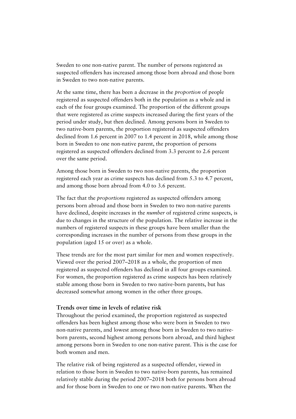Sweden to one non-native parent. The number of persons registered as suspected offenders has increased among those born abroad and those born in Sweden to two non-native parents.

At the same time, there has been a decrease in the *proportion* of people registered as suspected offenders both in the population as a whole and in each of the four groups examined. The proportion of the different groups that were registered as crime suspects increased during the first years of the period under study, but then declined. Among persons born in Sweden to two native-born parents, the proportion registered as suspected offenders declined from 1.6 percent in 2007 to 1.4 percent in 2018, while among those born in Sweden to one non-native parent, the proportion of persons registered as suspected offenders declined from 3.3 percent to 2.6 percent over the same period.

Among those born in Sweden to two non-native parents, the proportion registered each year as crime suspects has declined from 5.3 to 4.7 percent, and among those born abroad from 4.0 to 3.6 percent.

The fact that the *proportions* registered as suspected offenders among persons born abroad and those born in Sweden to two non-native parents have declined, despite increases in the *number* of registered crime suspects, is due to changes in the structure of the population. The relative increase in the numbers of registered suspects in these groups have been smaller than the corresponding increases in the number of persons from these groups in the population (aged 15 or over) as a whole.

These trends are for the most part similar for men and women respectively. Viewed over the period 2007–2018 as a whole, the proportion of men registered as suspected offenders has declined in all four groups examined. For women, the proportion registered as crime suspects has been relatively stable among those born in Sweden to two native-born parents, but has decreased somewhat among women in the other three groups.

#### **Trends over time in levels of relative risk**

Throughout the period examined, the proportion registered as suspected offenders has been highest among those who were born in Sweden to two non-native parents, and lowest among those born in Sweden to two nativeborn parents, second highest among persons born abroad, and third highest among persons born in Sweden to one non-native parent. This is the case for both women and men.

The relative risk of being registered as a suspected offender, viewed in relation to those born in Sweden to two native-born parents, has remained relatively stable during the period 2007–2018 both for persons born abroad and for those born in Sweden to one or two non-native parents. When the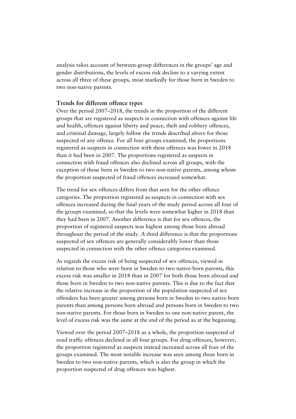analysis takes account of between-group differences in the groups' age and gender distributions, the levels of excess risk decline to a varying extent across all three of these groups, most markedly for those born in Sweden to two non-native parents.

#### **Trends for different offence types**

Over the period 2007–2018, the trends in the proportion of the different groups that are registered as suspects in connection with offences against life and health, offences against liberty and peace, theft and robbery offences, and criminal damage, largely follow the trends described above for those suspected of any offence. For all four groups examined, the proportions registered as suspects in connection with these offences was lower in 2018 than it had been in 2007. The proportions registered as suspects in connection with fraud offences also declined across all groups, with the exception of those born in Sweden to two non-native parents, among whom the proportion suspected of fraud offences increased somewhat.

The trend for sex offences differs from that seen for the other offence categories. The proportion registered as suspects in connection with sex offences increased during the final years of the study period across all four of the groups examined, so that the levels were somewhat higher in 2018 than they had been in 2007. Another difference is that for sex offences, the proportion of registered suspects was highest among those born abroad throughout the period of the study. A third difference is that the proportions suspected of sex offences are generally considerably lower than those suspected in connection with the other offence categories examined.

As regards the excess risk of being suspected of sex offences, viewed in relation to those who were born in Sweden to two native-born parents, this excess risk was smaller in 2018 than in 2007 for both those born abroad and those born in Sweden to two non-native parents. This is due to the fact that the relative increase in the proportion of the population suspected of sex offenders has been greater among persons born in Sweden to two native-born parents than among persons born abroad and persons born in Sweden to two non-native parents. For those born in Sweden to one non-native parent, the level of excess risk was the same at the end of the period as at the beginning.

Viewed over the period 2007–2018 as a whole, the proportion suspected of road traffic offences declined in all four groups. For drug offences, however, the proportion registered as suspects instead increased across all four of the groups examined. The most notable increase was seen among those born in Sweden to two non-native parents, which is also the group in which the proportion suspected of drug offences was highest.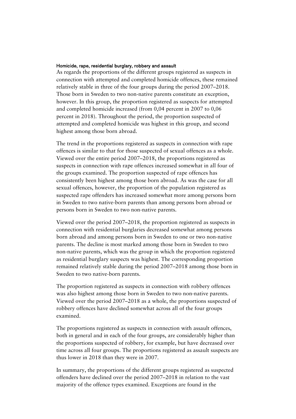#### Homicide, rape, residential burglary, robbery and assault

As regards the proportions of the different groups registered as suspects in connection with attempted and completed homicide offences, these remained relatively stable in three of the four groups during the period 2007–2018. Those born in Sweden to two non-native parents constitute an exception, however. In this group, the proportion registered as suspects for attempted and completed homicide increased (from 0,04 percent in 2007 to 0,06 percent in 2018). Throughout the period, the proportion suspected of attempted and completed homicide was highest in this group, and second highest among those born abroad.

The trend in the proportions registered as suspects in connection with rape offences is similar to that for those suspected of sexual offences as a whole. Viewed over the entire period 2007–2018, the proportions registered as suspects in connection with rape offences increased somewhat in all four of the groups examined. The proportion suspected of rape offences has consistently been highest among those born abroad. As was the case for all sexual offences, however, the proportion of the population registered as suspected rape offenders has increased somewhat more among persons born in Sweden to two native-born parents than among persons born abroad or persons born in Sweden to two non-native parents.

Viewed over the period 2007–2018, the proportion registered as suspects in connection with residential burglaries decreased somewhat among persons born abroad and among persons born in Sweden to one or two non-native parents. The decline is most marked among those born in Sweden to two non-native parents, which was the group in which the proportion registered as residential burglary suspects was highest. The corresponding proportion remained relatively stable during the period 2007–2018 among those born in Sweden to two native-born parents.

The proportion registered as suspects in connection with robbery offences was also highest among those born in Sweden to two non-native parents. Viewed over the period 2007–2018 as a whole, the proportions suspected of robbery offences have declined somewhat across all of the four groups examined.

The proportions registered as suspects in connection with assault offences, both in general and in each of the four groups, are considerably higher than the proportions suspected of robbery, for example, but have decreased over time across all four groups. The proportions registered as assault suspects are thus lower in 2018 than they were in 2007.

In summary, the proportions of the different groups registered as suspected offenders have declined over the period 2007–2018 in relation to the vast majority of the offence types examined. Exceptions are found in the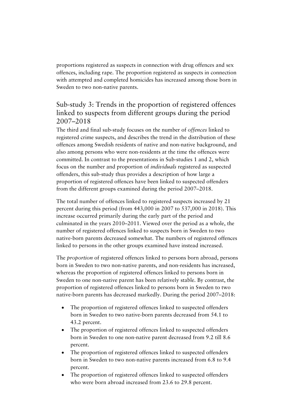proportions registered as suspects in connection with drug offences and sex offences, including rape. The proportion registered as suspects in connection with attempted and completed homicides has increased among those born in Sweden to two non-native parents.

# Sub-study 3: Trends in the proportion of registered offences linked to suspects from different groups during the period 2007–2018

The third and final sub-study focuses on the number of *offences* linked to registered crime suspects, and describes the trend in the distribution of these offences among Swedish residents of native and non-native background, and also among persons who were non-residents at the time the offences were committed. In contrast to the presentations in Sub-studies 1 and 2, which focus on the number and proportion of *individuals* registered as suspected offenders, this sub-study thus provides a description of how large a proportion of registered offences have been linked to suspected offenders from the different groups examined during the period 2007–2018.

The total number of offences linked to registered suspects increased by 21 percent during this period (from 443,000 in 2007 to 537,000 in 2018). This increase occurred primarily during the early part of the period and culminated in the years 2010–2011. Viewed over the period as a whole, the number of registered offences linked to suspects born in Sweden to two native-born parents decreased somewhat. The numbers of registered offences linked to persons in the other groups examined have instead increased.

The *proportion* of registered offences linked to persons born abroad, persons born in Sweden to two non-native parents, and non-residents has increased, whereas the proportion of registered offences linked to persons born in Sweden to one non-native parent has been relatively stable. By contrast, the proportion of registered offences linked to persons born in Sweden to two native-born parents has decreased markedly. During the period 2007–2018:

- The proportion of registered offences linked to suspected offenders born in Sweden to two native-born parents decreased from 54.1 to 43.2 percent.
- The proportion of registered offences linked to suspected offenders born in Sweden to one non-native parent decreased from 9.2 till 8.6 percent.
- The proportion of registered offences linked to suspected offenders born in Sweden to two non-native parents increased from 6.8 to 9.4 percent.
- The proportion of registered offences linked to suspected offenders who were born abroad increased from 23.6 to 29.8 percent.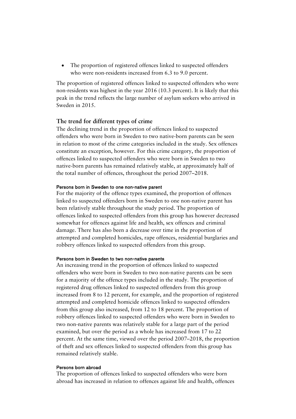• The proportion of registered offences linked to suspected offenders who were non-residents increased from 6.3 to 9.0 percent.

The proportion of registered offences linked to suspected offenders who were non-residents was highest in the year 2016 (10.3 percent). It is likely that this peak in the trend reflects the large number of asylum seekers who arrived in Sweden in 2015.

#### **The trend for different types of crime**

The declining trend in the proportion of offences linked to suspected offenders who were born in Sweden to two native-born parents can be seen in relation to most of the crime categories included in the study. Sex offences constitute an exception, however. For this crime category, the proportion of offences linked to suspected offenders who were born in Sweden to two native-born parents has remained relatively stable, at approximately half of the total number of offences, throughout the period 2007–2018.

#### Persons born in Sweden to one non-native parent

For the majority of the offence types examined, the proportion of offences linked to suspected offenders born in Sweden to one non-native parent has been relatively stable throughout the study period. The proportion of offences linked to suspected offenders from this group has however decreased somewhat for offences against life and health, sex offences and criminal damage. There has also been a decrease over time in the proportion of attempted and completed homicides, rape offences, residential burglaries and robbery offences linked to suspected offenders from this group.

#### Persons born in Sweden to two non-native parents

An increasing trend in the proportion of offences linked to suspected offenders who were born in Sweden to two non-native parents can be seen for a majority of the offence types included in the study. The proportion of registered drug offences linked to suspected offenders from this group increased from 8 to 12 percent, for example, and the proportion of registered attempted and completed homicide offences linked to suspected offenders from this group also increased, from 12 to 18 percent. The proportion of robbery offences linked to suspected offenders who were born in Sweden to two non-native parents was relatively stable for a large part of the period examined, but over the period as a whole has increased from 17 to 22 percent. At the same time, viewed over the period 2007–2018, the proportion of theft and sex offences linked to suspected offenders from this group has remained relatively stable.

#### Persons born abroad

The proportion of offences linked to suspected offenders who were born abroad has increased in relation to offences against life and health, offences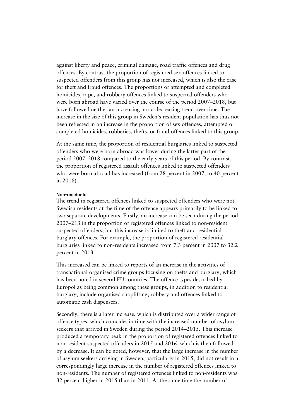against liberty and peace, criminal damage, road traffic offences and drug offences. By contrast the proportion of registered sex offences linked to suspected offenders from this group has not increased, which is also the case for theft and fraud offences. The proportions of attempted and completed homicides, rape, and robbery offences linked to suspected offenders who were born abroad have varied over the course of the period 2007–2018, but have followed neither an increasing nor a decreasing trend over time. The increase in the size of this group in Sweden's resident population has thus not been reflected in an increase in the proportion of sex offences, attempted or completed homicides, robberies, thefts, or fraud offences linked to this group.

At the same time, the proportion of residential burglaries linked to suspected offenders who were born abroad was lower during the latter part of the period 2007–2018 compared to the early years of this period. By contrast, the proportion of registered assault offences linked to suspected offenders who were born abroad has increased (from 28 percent in 2007, to 40 percent in 2018).

#### Non-residents

The trend in registered offences linked to suspected offenders who were not Swedish residents at the time of the offence appears primarily to be linked to two separate developments. Firstly, an increase can be seen during the period 2007–213 in the proportion of registered offences linked to non-resident suspected offenders, but this increase is limited to theft and residential burglary offences. For example, the proportion of registered residential burglaries linked to non-residents increased from 7.3 percent in 2007 to 32.2 percent in 2013.

This increased can be linked to reports of an increase in the activities of transnational organised crime groups focusing on thefts and burglary, which has been noted in several EU countries. The offence types described by Europol as being common among these groups, in addition to residential burglary, include organised shoplifting, robbery and offences linked to automatic cash dispensers.

Secondly, there is a later increase, which is distributed over a wider range of offence types, which coincides in time with the increased number of asylum seekers that arrived in Sweden during the period 2014–2015. This increase produced a temporary peak in the proportion of registered offences linked to non-resident suspected offenders in 2015 and 2016, which is then followed by a decrease. It can be noted, however, that the large increase in the number of asylum seekers arriving in Sweden, particularly in 2015, did not result in a correspondingly large increase in the number of registered offences linked to non-residents. The number of registered offences linked to non-residents was 32 percent higher in 2015 than in 2011. At the same time the number of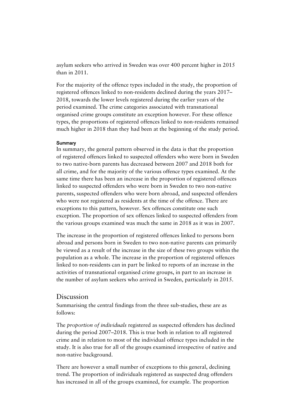asylum seekers who arrived in Sweden was over 400 percent higher in 2015 than in 2011.

For the majority of the offence types included in the study, the proportion of registered offences linked to non-residents declined during the years 2017– 2018, towards the lower levels registered during the earlier years of the period examined. The crime categories associated with transnational organised crime groups constitute an exception however. For these offence types, the proportions of registered offences linked to non-residents remained much higher in 2018 than they had been at the beginning of the study period.

#### **Summary**

In summary, the general pattern observed in the data is that the proportion of registered offences linked to suspected offenders who were born in Sweden to two native-born parents has decreased between 2007 and 2018 both for all crime, and for the majority of the various offence types examined. At the same time there has been an increase in the proportion of registered offences linked to suspected offenders who were born in Sweden to two non-native parents, suspected offenders who were born abroad, and suspected offenders who were not registered as residents at the time of the offence. There are exceptions to this pattern, however. Sex offences constitute one such exception. The proportion of sex offences linked to suspected offenders from the various groups examined was much the same in 2018 as it was in 2007.

The increase in the proportion of registered offences linked to persons born abroad and persons born in Sweden to two non-native parents can primarily be viewed as a result of the increase in the size of these two groups within the population as a whole. The increase in the proportion of registered offences linked to non-residents can in part be linked to reports of an increase in the activities of transnational organised crime groups, in part to an increase in the number of asylum seekers who arrived in Sweden, particularly in 2015.

### Discussion

Summarising the central findings from the three sub-studies, these are as follows:

The *proportion of individuals* registered as suspected offenders has declined during the period 2007–2018. This is true both in relation to all registered crime and in relation to most of the individual offence types included in the study. It is also true for all of the groups examined irrespective of native and non-native background.

There are however a small number of exceptions to this general, declining trend. The proportion of individuals registered as suspected drug offenders has increased in all of the groups examined, for example. The proportion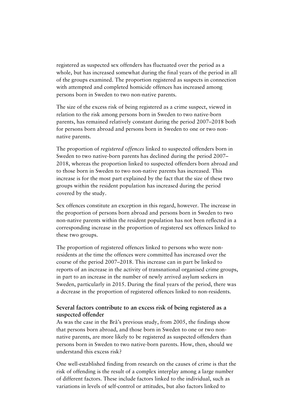registered as suspected sex offenders has fluctuated over the period as a whole, but has increased somewhat during the final years of the period in all of the groups examined. The proportion registered as suspects in connection with attempted and completed homicide offences has increased among persons born in Sweden to two non-native parents.

The size of the excess risk of being registered as a crime suspect, viewed in relation to the risk among persons born in Sweden to two native-born parents, has remained relatively constant during the period 2007–2018 both for persons born abroad and persons born in Sweden to one or two nonnative parents.

The proportion of *registered offences* linked to suspected offenders born in Sweden to two native-born parents has declined during the period 2007– 2018, whereas the proportion linked to suspected offenders born abroad and to those born in Sweden to two non-native parents has increased. This increase is for the most part explained by the fact that the size of these two groups within the resident population has increased during the period covered by the study.

Sex offences constitute an exception in this regard, however. The increase in the proportion of persons born abroad and persons born in Sweden to two non-native parents within the resident population has not been reflected in a corresponding increase in the proportion of registered sex offences linked to these two groups.

The proportion of registered offences linked to persons who were nonresidents at the time the offences were committed has increased over the course of the period 2007–2018. This increase can in part be linked to reports of an increase in the activity of transnational organised crime groups, in part to an increase in the number of newly arrived asylum seekers in Sweden, particularly in 2015. During the final years of the period, there was a decrease in the proportion of registered offences linked to non-residents.

### **Several factors contribute to an excess risk of being registered as a suspected offender**

As was the case in the Brå's previous study, from 2005, the findings show that persons born abroad, and those born in Sweden to one or two nonnative parents, are more likely to be registered as suspected offenders than persons born in Sweden to two native-born parents. How, then, should we understand this excess risk?

One well-established finding from research on the causes of crime is that the risk of offending is the result of a complex interplay among a large number of different factors. These include factors linked to the individual, such as variations in levels of self-control or attitudes, but also factors linked to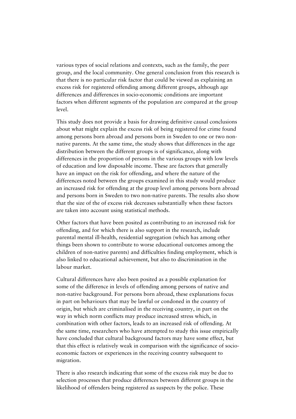various types of social relations and contexts, such as the family, the peer group, and the local community. One general conclusion from this research is that there is no particular risk factor that could be viewed as explaining an excess risk for registered offending among different groups, although age differences and differences in socio-economic conditions are important factors when different segments of the population are compared at the group level.

This study does not provide a basis for drawing definitive causal conclusions about what might explain the excess risk of being registered for crime found among persons born abroad and persons born in Sweden to one or two nonnative parents. At the same time, the study shows that differences in the age distribution between the different groups is of significance, along with differences in the proportion of persons in the various groups with low levels of education and low disposable income. These are factors that generally have an impact on the risk for offending, and where the nature of the differences noted between the groups examined in this study would produce an increased risk for offending at the group level among persons born abroad and persons born in Sweden to two non-native parents. The results also show that the size of the of excess risk decreases substantially when these factors are taken into account using statistical methods.

Other factors that have been posited as contributing to an increased risk for offending, and for which there is also support in the research, include parental mental ill-health, residential segregation (which has among other things been shown to contribute to worse educational outcomes among the children of non-native parents) and difficulties finding employment, which is also linked to educational achievement, but also to discrimination in the labour market.

Cultural differences have also been posited as a possible explanation for some of the difference in levels of offending among persons of native and non-native background. For persons born abroad, these explanations focus in part on behaviours that may be lawful or condoned in the country of origin, but which are criminalised in the receiving country, in part on the way in which norm conflicts may produce increased stress which, in combination with other factors, leads to an increased risk of offending. At the same time, researchers who have attempted to study this issue empirically have concluded that cultural background factors may have some effect, but that this effect is relatively weak in comparison with the significance of socioeconomic factors or experiences in the receiving country subsequent to migration.

There is also research indicating that some of the excess risk may be due to selection processes that produce differences between different groups in the likelihood of offenders being registered as suspects by the police. These